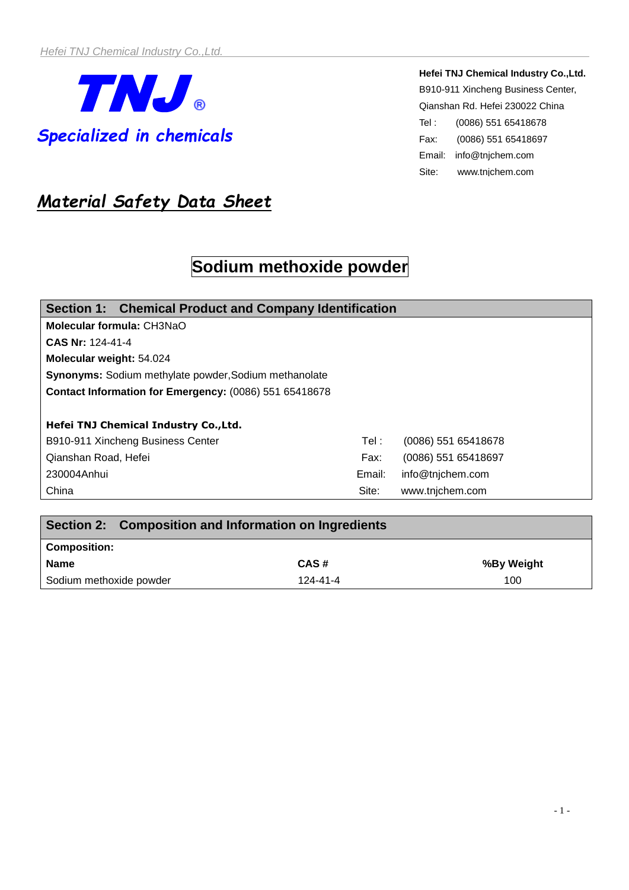

**Hefei TNJ Chemical Industry Co.,Ltd.**  B910-911 Xincheng Business Center, Qianshan Rd. Hefei 230022 China Tel : (0086) 551 65418678 Fax: (0086) 551 65418697 Email: [info@tnjchem.com](mailto:info@tnjchem.com) Site: www.tnjchem.com

## *Material Safety Data Sheet*

# **Sodium methoxide powder**

| Section 1: Chemical Product and Company Identification       |        |                     |  |  |
|--------------------------------------------------------------|--------|---------------------|--|--|
| Molecular formula: CH3NaO                                    |        |                     |  |  |
| CAS Nr: 124-41-4                                             |        |                     |  |  |
| Molecular weight: 54.024                                     |        |                     |  |  |
| <b>Synonyms:</b> Sodium methylate powder, Sodium methanolate |        |                     |  |  |
| Contact Information for Emergency: (0086) 551 65418678       |        |                     |  |  |
|                                                              |        |                     |  |  |
| Hefei TNJ Chemical Industry Co., Ltd.                        |        |                     |  |  |
| B910-911 Xincheng Business Center                            | Tel:   | (0086) 551 65418678 |  |  |
| Qianshan Road, Hefei                                         | Fax:   | (0086) 551 65418697 |  |  |
| 230004Anhui                                                  | Email: | info@tnjchem.com    |  |  |
| China                                                        | Site:  | www.tnjchem.com     |  |  |

| Section 2: Composition and Information on Ingredients |          |            |
|-------------------------------------------------------|----------|------------|
| <b>Composition:</b>                                   |          |            |
| <b>Name</b>                                           | CAS#     | %By Weight |
| Sodium methoxide powder                               | 124-41-4 | 100        |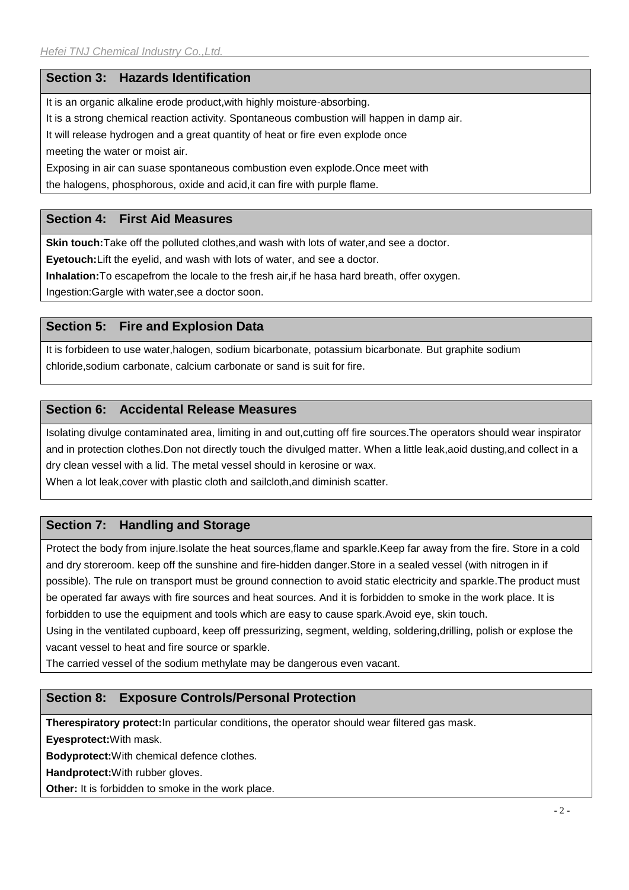#### **Section 3: Hazards Identification**

It is an organic alkaline erode product,with highly moisture-absorbing.

It is a strong chemical reaction activity. Spontaneous combustion will happen in damp air.

It will release hydrogen and a great quantity of heat or fire even explode once

meeting the water or moist air.

Exposing in air can suase spontaneous combustion even explode.Once meet with

the halogens, phosphorous, oxide and acid,it can fire with purple flame.

#### **Section 4: First Aid Measures**

**Skin touch:**Take off the polluted clothes,and wash with lots of water,and see a doctor.

**Eyetouch:**Lift the eyelid, and wash with lots of water, and see a doctor.

**Inhalation:**To escapefrom the locale to the fresh air,if he hasa hard breath, offer oxygen.

Ingestion:Gargle with water,see a doctor soon.

#### **Section 5: Fire and Explosion Data**

It is forbideen to use water,halogen, sodium bicarbonate, potassium bicarbonate. But graphite sodium chloride,sodium carbonate, calcium carbonate or sand is suit for fire.

#### **Section 6: Accidental Release Measures**

Isolating divulge contaminated area, limiting in and out,cutting off fire sources.The operators should wear inspirator and in protection clothes.Don not directly touch the divulged matter. When a little leak,aoid dusting,and collect in a dry clean vessel with a lid. The metal vessel should in kerosine or wax.

When a lot leak,cover with plastic cloth and sailcloth,and diminish scatter.

## **Section 7: Handling and Storage**

Protect the body from injure.Isolate the heat sources,flame and sparkle.Keep far away from the fire. Store in a cold and dry storeroom. keep off the sunshine and fire-hidden danger.Store in a sealed vessel (with nitrogen in if possible). The rule on transport must be ground connection to avoid static electricity and sparkle.The product must be operated far aways with fire sources and heat sources. And it is forbidden to smoke in the work place. It is forbidden to use the equipment and tools which are easy to cause spark.Avoid eye, skin touch. Using in the ventilated cupboard, keep off pressurizing, segment, welding, soldering,drilling, polish or explose the

vacant vessel to heat and fire source or sparkle.

The carried vessel of the sodium methylate may be dangerous even vacant.

## **Section 8: Exposure Controls/Personal Protection**

**Therespiratory protect:**In particular conditions, the operator should wear filtered gas mask.

**Eyesprotect:**With mask.

**Bodyprotect:**With chemical defence clothes.

**Handprotect:**With rubber gloves.

**Other:** It is forbidden to smoke in the work place.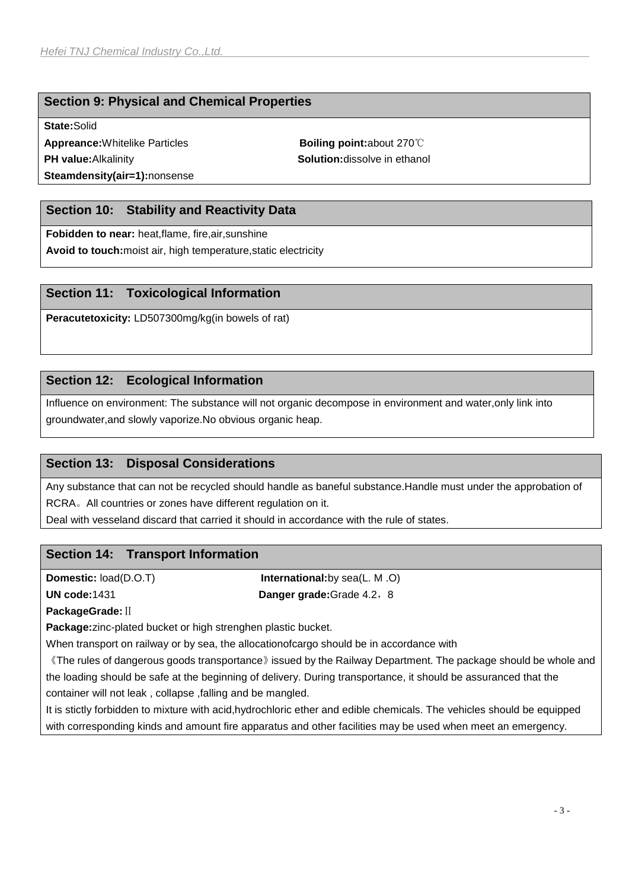#### **Section 9: Physical and Chemical Properties**

**State:**Solid

**Appreance:**Whitelike Particles **Boiling point:about 270**℃ **PH value:**Alkalinity **Solution:**dissolve in ethanol **Steamdensity(air=1):**nonsense

## **Section 10: Stability and Reactivity Data**

**Fobidden to near:** heat,flame, fire,air,sunshine

**Avoid to touch:**moist air, high temperature,static electricity

#### **Section 11: Toxicological Information**

**Peracutetoxicity:** LD507300mg/kg(in bowels of rat)

#### **Section 12: Ecological Information**

Influence on environment: The substance will not organic decompose in environment and water,only link into groundwater,and slowly vaporize.No obvious organic heap.

### **Section 13: Disposal Considerations**

Any substance that can not be recycled should handle as baneful substance.Handle must under the approbation of RCRA。All countries or zones have different regulation on it.

Deal with vesseland discard that carried it should in accordance with the rule of states.

#### **Section 14: Transport Information**

**Domestic:** load(D.O.T) **International:**by sea(L. M .O) **UN code:**1431 **Danger grade:**Grade 4.2,8

**PackageGrade:**Ⅱ

**Package:**zinc-plated bucket or high strenghen plastic bucket.

When transport on railway or by sea, the allocationofcargo should be in accordance with

《The rules of dangerous goods transportance》issued by the Railway Department. The package should be whole and the loading should be safe at the beginning of delivery. During transportance, it should be assuranced that the container will not leak , collapse ,falling and be mangled.

It is stictly forbidden to mixture with acid,hydrochloric ether and edible chemicals. The vehicles should be equipped with corresponding kinds and amount fire apparatus and other facilities may be used when meet an emergency.